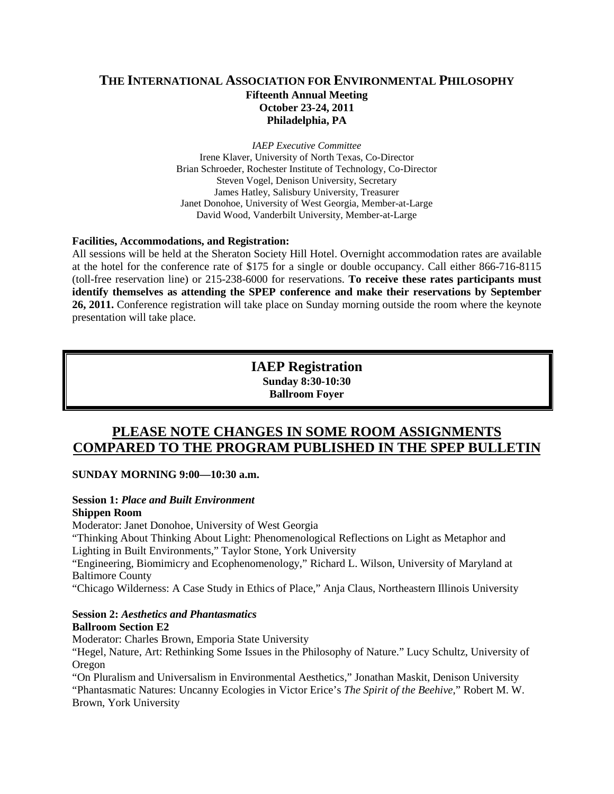## **THE INTERNATIONAL ASSOCIATION FOR ENVIRONMENTAL PHILOSOPHY Fifteenth Annual Meeting October 23-24, 2011 Philadelphia, PA**

*IAEP Executive Committee* Irene Klaver, University of North Texas, Co-Director Brian Schroeder, Rochester Institute of Technology, Co-Director Steven Vogel, Denison University, Secretary James Hatley, Salisbury University, Treasurer Janet Donohoe, University of West Georgia, Member-at-Large David Wood, Vanderbilt University, Member-at-Large

#### **Facilities, Accommodations, and Registration:**

All sessions will be held at the Sheraton Society Hill Hotel. Overnight accommodation rates are available at the hotel for the conference rate of \$175 for a single or double occupancy. Call either 866-716-8115 (toll-free reservation line) or 215-238-6000 for reservations. **To receive these rates participants must identify themselves as attending the SPEP conference and make their reservations by September 26, 2011.** Conference registration will take place on Sunday morning outside the room where the keynote presentation will take place.

> **IAEP Registration Sunday 8:30-10:30 Ballroom Foyer**

## **PLEASE NOTE CHANGES IN SOME ROOM ASSIGNMENTS COMPARED TO THE PROGRAM PUBLISHED IN THE SPEP BULLETIN**

#### **SUNDAY MORNING 9:00—10:30 a.m.**

# **Session 1:** *Place and Built Environment*

## **Shippen Room**

Moderator: Janet Donohoe, University of West Georgia

"Thinking About Thinking About Light: Phenomenological Reflections on Light as Metaphor and Lighting in Built Environments," Taylor Stone, York University

"Engineering, Biomimicry and Ecophenomenology," Richard L. Wilson, University of Maryland at Baltimore County

"Chicago Wilderness: A Case Study in Ethics of Place," Anja Claus, Northeastern Illinois University

#### **Session 2:** *Aesthetics and Phantasmatics*

#### **Ballroom Section E2**

Moderator: Charles Brown, Emporia State University

"Hegel, Nature, Art: Rethinking Some Issues in the Philosophy of Nature." Lucy Schultz, University of Oregon

"On Pluralism and Universalism in Environmental Aesthetics," Jonathan Maskit, Denison University "Phantasmatic Natures: Uncanny Ecologies in Victor Erice's *The Spirit of the Beehive*," Robert M. W. Brown, York University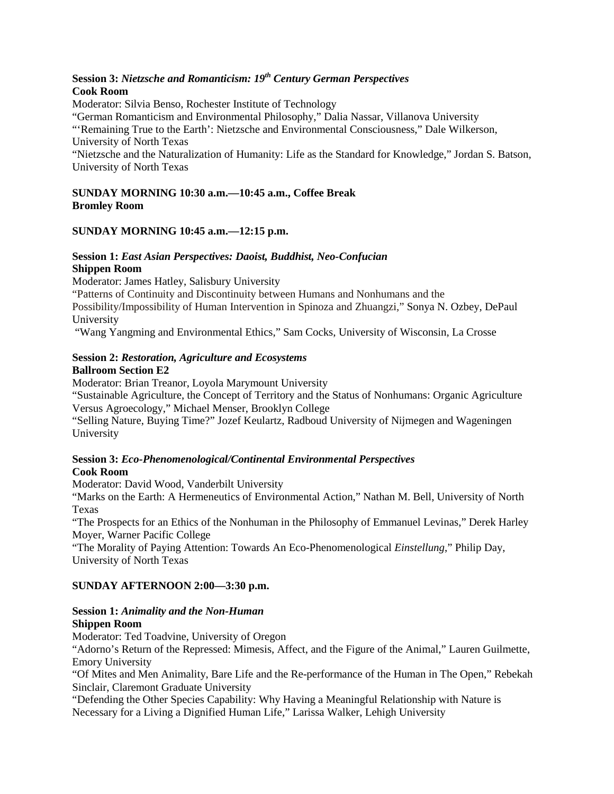## **Session 3:** *Nietzsche and Romanticism: 19th Century German Perspectives*  **Cook Room**

Moderator: Silvia Benso, Rochester Institute of Technology

"German Romanticism and Environmental Philosophy," Dalia Nassar, Villanova University

"'Remaining True to the Earth': Nietzsche and Environmental Consciousness," Dale Wilkerson, University of North Texas

"Nietzsche and the Naturalization of Humanity: Life as the Standard for Knowledge," Jordan S. Batson, University of North Texas

#### **SUNDAY MORNING 10:30 a.m.—10:45 a.m., Coffee Break Bromley Room**

### **SUNDAY MORNING 10:45 a.m.—12:15 p.m.**

#### **Session 1:** *East Asian Perspectives: Daoist, Buddhist, Neo-Confucian* **Shippen Room**

Moderator: James Hatley, Salisbury University

"Patterns of Continuity and Discontinuity between Humans and Nonhumans and the Possibility/Impossibility of Human Intervention in Spinoza and Zhuangzi," Sonya N. Ozbey, DePaul

University

"Wang Yangming and Environmental Ethics," Sam Cocks, University of Wisconsin, La Crosse

#### **Session 2:** *Restoration, Agriculture and Ecosystems* **Ballroom Section E2**

Moderator: Brian Treanor, Loyola Marymount University

"Sustainable Agriculture, the Concept of Territory and the Status of Nonhumans: Organic Agriculture Versus Agroecology," Michael Menser, Brooklyn College

"Selling Nature, Buying Time?" Jozef Keulartz, Radboud University of Nijmegen and Wageningen University

#### **Session 3:** *Eco-Phenomenological/Continental Environmental Perspectives* **Cook Room**

Moderator: David Wood, Vanderbilt University

"Marks on the Earth: A Hermeneutics of Environmental Action," Nathan M. Bell, University of North Texas

"The Prospects for an Ethics of the Nonhuman in the Philosophy of Emmanuel Levinas," Derek Harley Moyer, Warner Pacific College

"The Morality of Paying Attention: Towards An Eco-Phenomenological *Einstellung*," Philip Day, University of North Texas

#### **SUNDAY AFTERNOON 2:00—3:30 p.m.**

#### **Session 1:** *Animality and the Non-Human* **Shippen Room**

Moderator: Ted Toadvine, University of Oregon

"Adorno's Return of the Repressed: Mimesis, Affect, and the Figure of the Animal," Lauren Guilmette, Emory University

"Of Mites and Men Animality, Bare Life and the Re-performance of the Human in The Open," Rebekah Sinclair, Claremont Graduate University

"Defending the Other Species Capability: Why Having a Meaningful Relationship with Nature is Necessary for a Living a Dignified Human Life," Larissa Walker, Lehigh University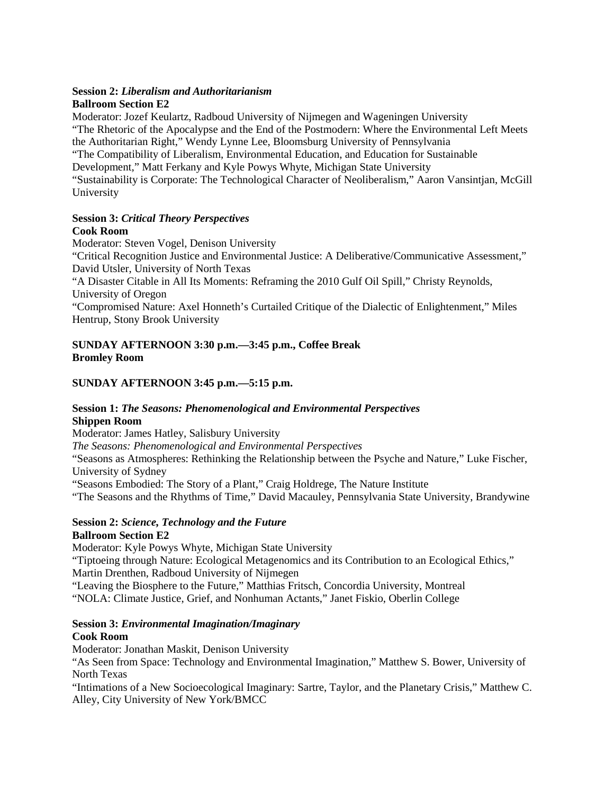#### **Session 2:** *Liberalism and Authoritarianism* **Ballroom Section E2**

Moderator: Jozef Keulartz, Radboud University of Nijmegen and Wageningen University "The Rhetoric of the Apocalypse and the End of the Postmodern: Where the Environmental Left Meets the Authoritarian Right," Wendy Lynne Lee, Bloomsburg University of Pennsylvania "The Compatibility of Liberalism, Environmental Education, and Education for Sustainable Development," Matt Ferkany and Kyle Powys Whyte, Michigan State University "Sustainability is Corporate: The Technological Character of Neoliberalism," Aaron Vansintjan, McGill University

#### **Session 3:** *Critical Theory Perspectives* **Cook Room**

Moderator: Steven Vogel, Denison University "Critical Recognition Justice and Environmental Justice: A Deliberative/Communicative Assessment," David Utsler, University of North Texas "A Disaster Citable in All Its Moments: Reframing the 2010 Gulf Oil Spill," Christy Reynolds, University of Oregon "Compromised Nature: Axel Honneth's Curtailed Critique of the Dialectic of Enlightenment," Miles Hentrup, Stony Brook University

## **SUNDAY AFTERNOON 3:30 p.m.—3:45 p.m., Coffee Break Bromley Room**

## **SUNDAY AFTERNOON 3:45 p.m.—5:15 p.m.**

## **Session 1:** *The Seasons: Phenomenological and Environmental Perspectives* **Shippen Room**

Moderator: James Hatley, Salisbury University *The Seasons: Phenomenological and Environmental Perspectives* "Seasons as Atmospheres: Rethinking the Relationship between the Psyche and Nature," Luke Fischer, University of Sydney "Seasons Embodied: The Story of a Plant," Craig Holdrege, The Nature Institute "The Seasons and the Rhythms of Time," David Macauley, Pennsylvania State University, Brandywine

#### **Session 2:** *Science, Technology and the Future* **Ballroom Section E2**

Moderator: Kyle Powys Whyte, Michigan State University "Tiptoeing through Nature: Ecological Metagenomics and its Contribution to an Ecological Ethics," Martin Drenthen, Radboud University of Nijmegen "Leaving the Biosphere to the Future," Matthias Fritsch, Concordia University, Montreal "NOLA: Climate Justice, Grief, and Nonhuman Actants," Janet Fiskio, Oberlin College

#### **Session 3:** *Environmental Imagination/Imaginary* **Cook Room**

Moderator: Jonathan Maskit, Denison University "As Seen from Space: Technology and Environmental Imagination," Matthew S. Bower, University of North Texas

"Intimations of a New Socioecological Imaginary: Sartre, Taylor, and the Planetary Crisis," Matthew C. Alley, City University of New York/BMCC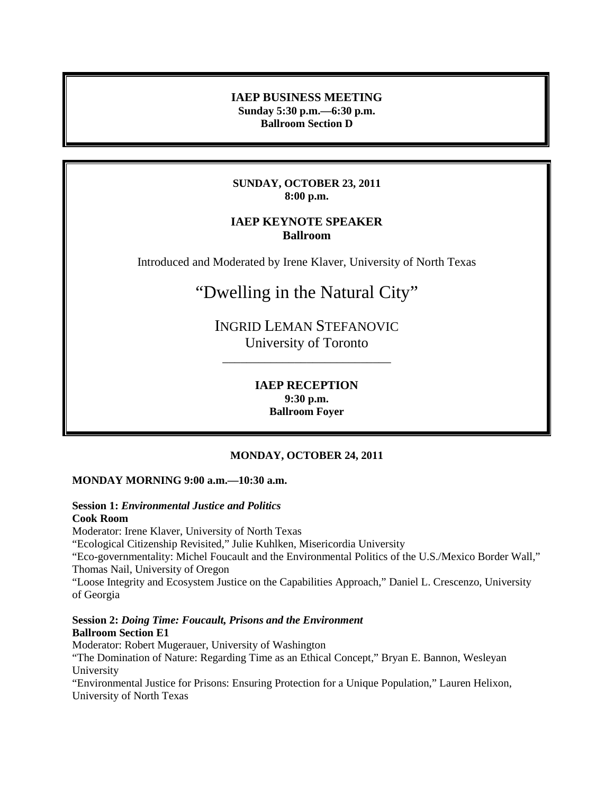#### **IAEP BUSINESS MEETING Sunday 5:30 p.m.—6:30 p.m. Ballroom Section D**

#### **SUNDAY, OCTOBER 23, 2011 8:00 p.m.**

## **IAEP KEYNOTE SPEAKER Ballroom**

Introduced and Moderated by Irene Klaver, University of North Texas

# "Dwelling in the Natural City"

INGRID LEMAN STEFANOVIC University of Toronto

\_\_\_\_\_\_\_\_\_\_\_\_\_\_\_\_\_\_\_\_\_\_\_\_\_\_\_\_

**IAEP RECEPTION 9:30 p.m. Ballroom Foyer**

## **MONDAY, OCTOBER 24, 2011**

#### **MONDAY MORNING 9:00 a.m.—10:30 a.m.**

#### **Session 1:** *Environmental Justice and Politics* **Cook Room**

Moderator: Irene Klaver, University of North Texas "Ecological Citizenship Revisited," Julie Kuhlken, Misericordia University "Eco-governmentality: Michel Foucault and the Environmental Politics of the U.S./Mexico Border Wall," Thomas Nail, University of Oregon "Loose Integrity and Ecosystem Justice on the Capabilities Approach," Daniel L. Crescenzo, University of Georgia

#### **Session 2:** *Doing Time: Foucault, Prisons and the Environment* **Ballroom Section E1**

Moderator: Robert Mugerauer, University of Washington "The Domination of Nature: Regarding Time as an Ethical Concept," Bryan E. Bannon, Wesleyan University "Environmental Justice for Prisons: Ensuring Protection for a Unique Population," Lauren Helixon, University of North Texas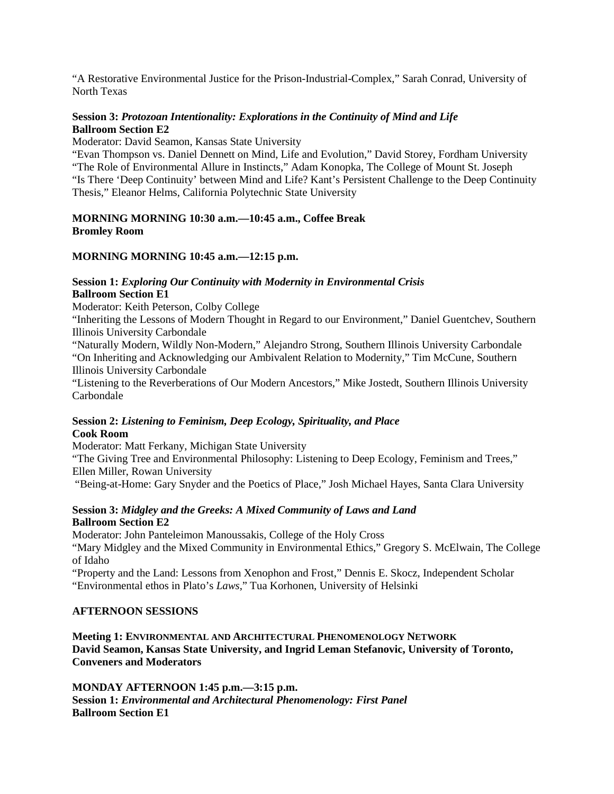"A Restorative Environmental Justice for the Prison-Industrial-Complex," Sarah Conrad, University of North Texas

#### **Session 3:** *Protozoan Intentionality: Explorations in the Continuity of Mind and Life* **Ballroom Section E2**

Moderator: David Seamon, Kansas State University

"Evan Thompson vs. Daniel Dennett on Mind, Life and Evolution," David Storey, Fordham University "The Role of Environmental Allure in Instincts," Adam Konopka, The College of Mount St. Joseph "Is There 'Deep Continuity' between Mind and Life? Kant's Persistent Challenge to the Deep Continuity Thesis," Eleanor Helms, California Polytechnic State University

#### **MORNING MORNING 10:30 a.m.—10:45 a.m., Coffee Break Bromley Room**

#### **MORNING MORNING 10:45 a.m.—12:15 p.m.**

#### **Session 1:** *Exploring Our Continuity with Modernity in Environmental Crisis* **Ballroom Section E1**

Moderator: Keith Peterson, Colby College

"Inheriting the Lessons of Modern Thought in Regard to our Environment," Daniel Guentchev, Southern Illinois University Carbondale

"Naturally Modern, Wildly Non-Modern," Alejandro Strong, Southern Illinois University Carbondale "On Inheriting and Acknowledging our Ambivalent Relation to Modernity," Tim McCune, Southern Illinois University Carbondale

"Listening to the Reverberations of Our Modern Ancestors," Mike Jostedt, Southern Illinois University Carbondale

#### **Session 2:** *Listening to Feminism, Deep Ecology, Spirituality, and Place* **Cook Room**

Moderator: Matt Ferkany, Michigan State University

"The Giving Tree and Environmental Philosophy: Listening to Deep Ecology, Feminism and Trees," Ellen Miller, Rowan University

"Being-at-Home: Gary Snyder and the Poetics of Place," Josh Michael Hayes, Santa Clara University

## **Session 3:** *Midgley and the Greeks: A Mixed Community of Laws and Land* **Ballroom Section E2**

Moderator: John Panteleimon Manoussakis, College of the Holy Cross "Mary Midgley and the Mixed Community in Environmental Ethics," Gregory S. McElwain, The College

of Idaho

"Property and the Land: Lessons from Xenophon and Frost," Dennis E. Skocz, Independent Scholar "Environmental ethos in Plato's *Laws*," Tua Korhonen, University of Helsinki

#### **AFTERNOON SESSIONS**

**Meeting 1: ENVIRONMENTAL AND ARCHITECTURAL PHENOMENOLOGY NETWORK David Seamon, Kansas State University, and Ingrid Leman Stefanovic, University of Toronto, Conveners and Moderators**

**MONDAY AFTERNOON 1:45 p.m.—3:15 p.m. Session 1:** *Environmental and Architectural Phenomenology: First Panel* **Ballroom Section E1**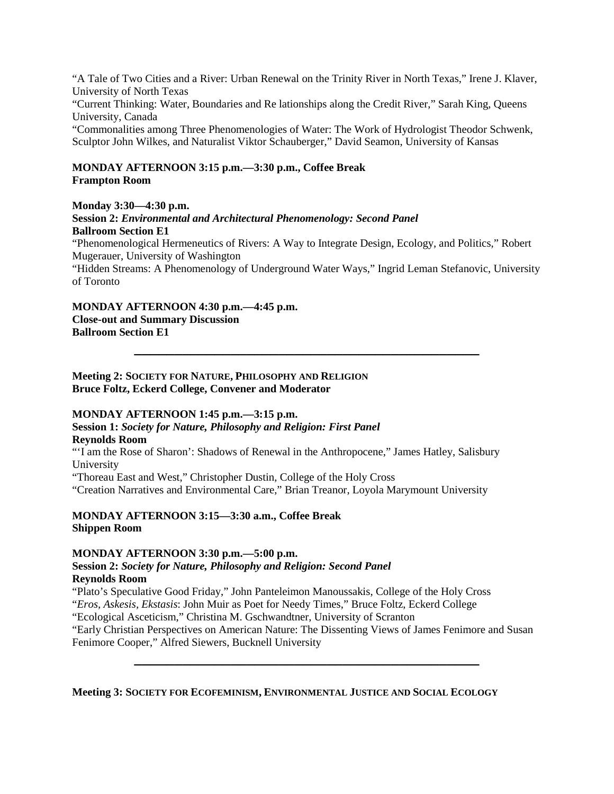"A Tale of Two Cities and a River: Urban Renewal on the Trinity River in North Texas," Irene J. Klaver, University of North Texas

"Current Thinking: Water, Boundaries and Re lationships along the Credit River," Sarah King, Queens University, Canada

"Commonalities among Three Phenomenologies of Water: The Work of Hydrologist Theodor Schwenk, Sculptor John Wilkes, and Naturalist Viktor Schauberger," David Seamon, University of Kansas

#### **MONDAY AFTERNOON 3:15 p.m.—3:30 p.m., Coffee Break Frampton Room**

**Monday 3:30—4:30 p.m.**

**Session 2:** *Environmental and Architectural Phenomenology: Second Panel* **Ballroom Section E1**

"Phenomenological Hermeneutics of Rivers: A Way to Integrate Design, Ecology, and Politics," Robert Mugerauer, University of Washington

"Hidden Streams: A Phenomenology of Underground Water Ways," Ingrid Leman Stefanovic, University of Toronto

**\_\_\_\_\_\_\_\_\_\_\_\_\_\_\_\_\_\_\_\_\_\_\_\_\_\_\_\_\_\_\_\_\_\_\_\_\_\_\_\_\_\_\_**

**MONDAY AFTERNOON 4:30 p.m.—4:45 p.m. Close-out and Summary Discussion Ballroom Section E1**

**Meeting 2: SOCIETY FOR NATURE, PHILOSOPHY AND RELIGION Bruce Foltz, Eckerd College, Convener and Moderator**

#### **MONDAY AFTERNOON 1:45 p.m.—3:15 p.m.**

**Session 1:** *Society for Nature, Philosophy and Religion: First Panel* **Reynolds Room**

"'I am the Rose of Sharon': Shadows of Renewal in the Anthropocene," James Hatley, Salisbury University

"Thoreau East and West," Christopher Dustin, College of the Holy Cross

"Creation Narratives and Environmental Care," Brian Treanor, Loyola Marymount University

**MONDAY AFTERNOON 3:15—3:30 a.m., Coffee Break Shippen Room**

#### **MONDAY AFTERNOON 3:30 p.m.—5:00 p.m.**

#### **Session 2:** *Society for Nature, Philosophy and Religion: Second Panel* **Reynolds Room**

"Plato's Speculative Good Friday," John Panteleimon Manoussakis, College of the Holy Cross "*Eros, Askesis, Ekstasis*: John Muir as Poet for Needy Times," Bruce Foltz, Eckerd College "Ecological Asceticism," Christina M. Gschwandtner, University of Scranton

"Early Christian Perspectives on American Nature: The Dissenting Views of James Fenimore and Susan Fenimore Cooper," Alfred Siewers, Bucknell University

**\_\_\_\_\_\_\_\_\_\_\_\_\_\_\_\_\_\_\_\_\_\_\_\_\_\_\_\_\_\_\_\_\_\_\_\_\_\_\_\_\_\_\_**

**Meeting 3: SOCIETY FOR ECOFEMINISM, ENVIRONMENTAL JUSTICE AND SOCIAL ECOLOGY**